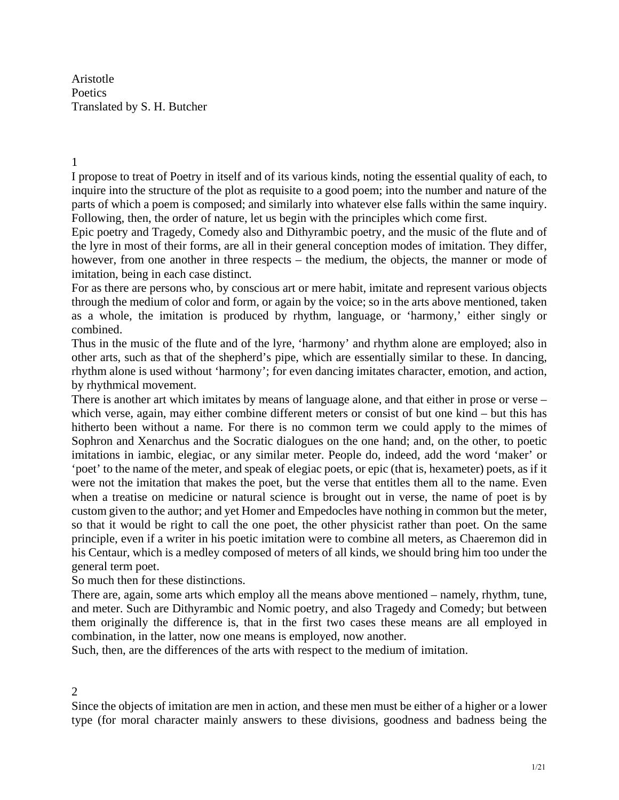Aristotle **Poetics** Translated by S. H. Butcher

1

I propose to treat of Poetry in itself and of its various kinds, noting the essential quality of each, to inquire into the structure of the plot as requisite to a good poem; into the number and nature of the parts of which a poem is composed; and similarly into whatever else falls within the same inquiry. Following, then, the order of nature, let us begin with the principles which come first.

Epic poetry and Tragedy, Comedy also and Dithyrambic poetry, and the music of the flute and of the lyre in most of their forms, are all in their general conception modes of imitation. They differ, however, from one another in three respects – the medium, the objects, the manner or mode of imitation, being in each case distinct.

For as there are persons who, by conscious art or mere habit, imitate and represent various objects through the medium of color and form, or again by the voice; so in the arts above mentioned, taken as a whole, the imitation is produced by rhythm, language, or 'harmony,' either singly or combined.

Thus in the music of the flute and of the lyre, 'harmony' and rhythm alone are employed; also in other arts, such as that of the shepherd's pipe, which are essentially similar to these. In dancing, rhythm alone is used without 'harmony'; for even dancing imitates character, emotion, and action, by rhythmical movement.

There is another art which imitates by means of language alone, and that either in prose or verse – which verse, again, may either combine different meters or consist of but one kind – but this has hitherto been without a name. For there is no common term we could apply to the mimes of Sophron and Xenarchus and the Socratic dialogues on the one hand; and, on the other, to poetic imitations in iambic, elegiac, or any similar meter. People do, indeed, add the word 'maker' or 'poet' to the name of the meter, and speak of elegiac poets, or epic (that is, hexameter) poets, as if it were not the imitation that makes the poet, but the verse that entitles them all to the name. Even when a treatise on medicine or natural science is brought out in verse, the name of poet is by custom given to the author; and yet Homer and Empedocles have nothing in common but the meter, so that it would be right to call the one poet, the other physicist rather than poet. On the same principle, even if a writer in his poetic imitation were to combine all meters, as Chaeremon did in his Centaur, which is a medley composed of meters of all kinds, we should bring him too under the general term poet.

So much then for these distinctions.

There are, again, some arts which employ all the means above mentioned – namely, rhythm, tune, and meter. Such are Dithyrambic and Nomic poetry, and also Tragedy and Comedy; but between them originally the difference is, that in the first two cases these means are all employed in combination, in the latter, now one means is employed, now another.

Such, then, are the differences of the arts with respect to the medium of imitation.

#### 2

Since the objects of imitation are men in action, and these men must be either of a higher or a lower type (for moral character mainly answers to these divisions, goodness and badness being the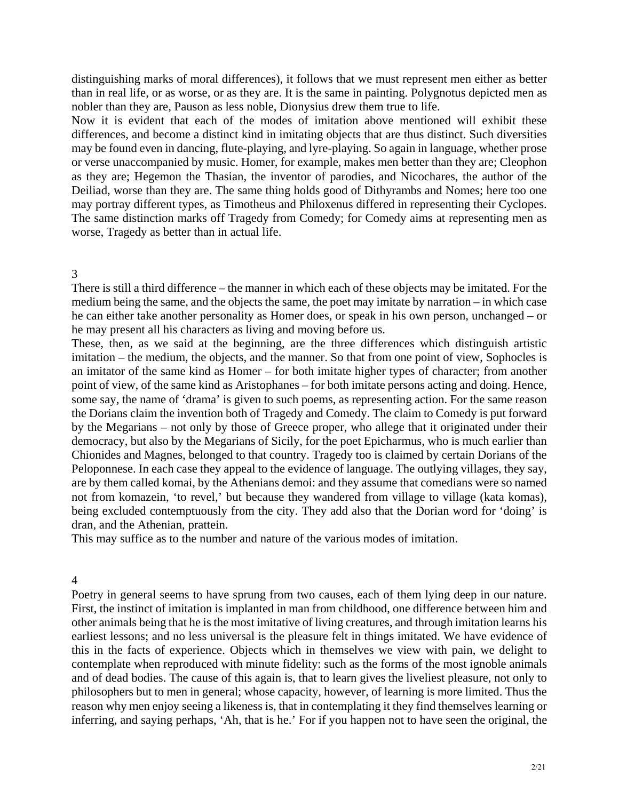distinguishing marks of moral differences), it follows that we must represent men either as better than in real life, or as worse, or as they are. It is the same in painting. Polygnotus depicted men as nobler than they are, Pauson as less noble, Dionysius drew them true to life.

Now it is evident that each of the modes of imitation above mentioned will exhibit these differences, and become a distinct kind in imitating objects that are thus distinct. Such diversities may be found even in dancing, flute-playing, and lyre-playing. So again in language, whether prose or verse unaccompanied by music. Homer, for example, makes men better than they are; Cleophon as they are; Hegemon the Thasian, the inventor of parodies, and Nicochares, the author of the Deiliad, worse than they are. The same thing holds good of Dithyrambs and Nomes; here too one may portray different types, as Timotheus and Philoxenus differed in representing their Cyclopes. The same distinction marks off Tragedy from Comedy; for Comedy aims at representing men as worse, Tragedy as better than in actual life.

### 3

There is still a third difference – the manner in which each of these objects may be imitated. For the medium being the same, and the objects the same, the poet may imitate by narration – in which case he can either take another personality as Homer does, or speak in his own person, unchanged – or he may present all his characters as living and moving before us.

These, then, as we said at the beginning, are the three differences which distinguish artistic imitation – the medium, the objects, and the manner. So that from one point of view, Sophocles is an imitator of the same kind as Homer – for both imitate higher types of character; from another point of view, of the same kind as Aristophanes – for both imitate persons acting and doing. Hence, some say, the name of 'drama' is given to such poems, as representing action. For the same reason the Dorians claim the invention both of Tragedy and Comedy. The claim to Comedy is put forward by the Megarians – not only by those of Greece proper, who allege that it originated under their democracy, but also by the Megarians of Sicily, for the poet Epicharmus, who is much earlier than Chionides and Magnes, belonged to that country. Tragedy too is claimed by certain Dorians of the Peloponnese. In each case they appeal to the evidence of language. The outlying villages, they say, are by them called komai, by the Athenians demoi: and they assume that comedians were so named not from komazein, 'to revel,' but because they wandered from village to village (kata komas), being excluded contemptuously from the city. They add also that the Dorian word for 'doing' is dran, and the Athenian, prattein.

This may suffice as to the number and nature of the various modes of imitation.

4

Poetry in general seems to have sprung from two causes, each of them lying deep in our nature. First, the instinct of imitation is implanted in man from childhood, one difference between him and other animals being that he is the most imitative of living creatures, and through imitation learns his earliest lessons; and no less universal is the pleasure felt in things imitated. We have evidence of this in the facts of experience. Objects which in themselves we view with pain, we delight to contemplate when reproduced with minute fidelity: such as the forms of the most ignoble animals and of dead bodies. The cause of this again is, that to learn gives the liveliest pleasure, not only to philosophers but to men in general; whose capacity, however, of learning is more limited. Thus the reason why men enjoy seeing a likeness is, that in contemplating it they find themselves learning or inferring, and saying perhaps, 'Ah, that is he.' For if you happen not to have seen the original, the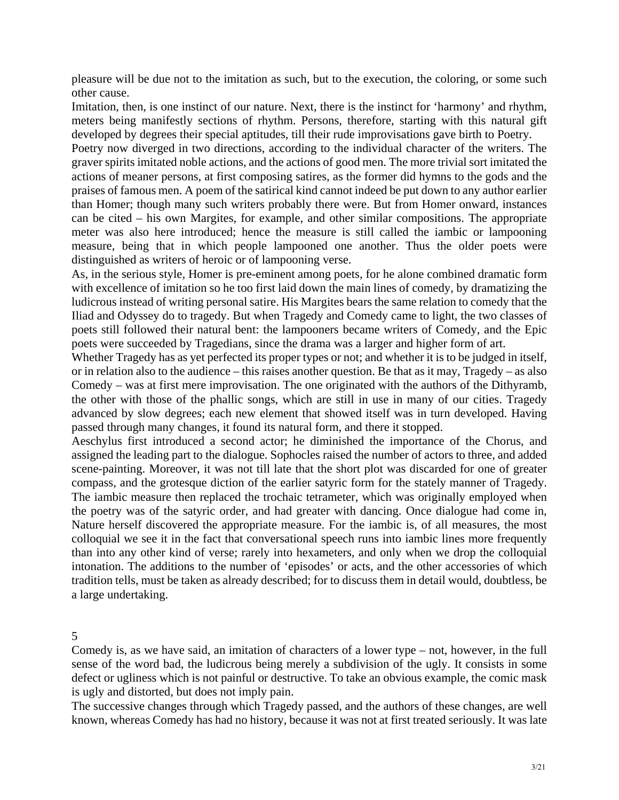pleasure will be due not to the imitation as such, but to the execution, the coloring, or some such other cause.

Imitation, then, is one instinct of our nature. Next, there is the instinct for 'harmony' and rhythm, meters being manifestly sections of rhythm. Persons, therefore, starting with this natural gift developed by degrees their special aptitudes, till their rude improvisations gave birth to Poetry.

Poetry now diverged in two directions, according to the individual character of the writers. The graver spirits imitated noble actions, and the actions of good men. The more trivial sort imitated the actions of meaner persons, at first composing satires, as the former did hymns to the gods and the praises of famous men. A poem of the satirical kind cannot indeed be put down to any author earlier than Homer; though many such writers probably there were. But from Homer onward, instances can be cited – his own Margites, for example, and other similar compositions. The appropriate meter was also here introduced; hence the measure is still called the iambic or lampooning measure, being that in which people lampooned one another. Thus the older poets were distinguished as writers of heroic or of lampooning verse.

As, in the serious style, Homer is pre-eminent among poets, for he alone combined dramatic form with excellence of imitation so he too first laid down the main lines of comedy, by dramatizing the ludicrous instead of writing personal satire. His Margites bears the same relation to comedy that the Iliad and Odyssey do to tragedy. But when Tragedy and Comedy came to light, the two classes of poets still followed their natural bent: the lampooners became writers of Comedy, and the Epic poets were succeeded by Tragedians, since the drama was a larger and higher form of art.

Whether Tragedy has as yet perfected its proper types or not; and whether it is to be judged in itself, or in relation also to the audience – this raises another question. Be that as it may, Tragedy – as also Comedy – was at first mere improvisation. The one originated with the authors of the Dithyramb, the other with those of the phallic songs, which are still in use in many of our cities. Tragedy advanced by slow degrees; each new element that showed itself was in turn developed. Having passed through many changes, it found its natural form, and there it stopped.

Aeschylus first introduced a second actor; he diminished the importance of the Chorus, and assigned the leading part to the dialogue. Sophocles raised the number of actors to three, and added scene-painting. Moreover, it was not till late that the short plot was discarded for one of greater compass, and the grotesque diction of the earlier satyric form for the stately manner of Tragedy. The iambic measure then replaced the trochaic tetrameter, which was originally employed when the poetry was of the satyric order, and had greater with dancing. Once dialogue had come in, Nature herself discovered the appropriate measure. For the iambic is, of all measures, the most colloquial we see it in the fact that conversational speech runs into iambic lines more frequently than into any other kind of verse; rarely into hexameters, and only when we drop the colloquial intonation. The additions to the number of 'episodes' or acts, and the other accessories of which tradition tells, must be taken as already described; for to discuss them in detail would, doubtless, be a large undertaking.

5

Comedy is, as we have said, an imitation of characters of a lower type – not, however, in the full sense of the word bad, the ludicrous being merely a subdivision of the ugly. It consists in some defect or ugliness which is not painful or destructive. To take an obvious example, the comic mask is ugly and distorted, but does not imply pain.

The successive changes through which Tragedy passed, and the authors of these changes, are well known, whereas Comedy has had no history, because it was not at first treated seriously. It was late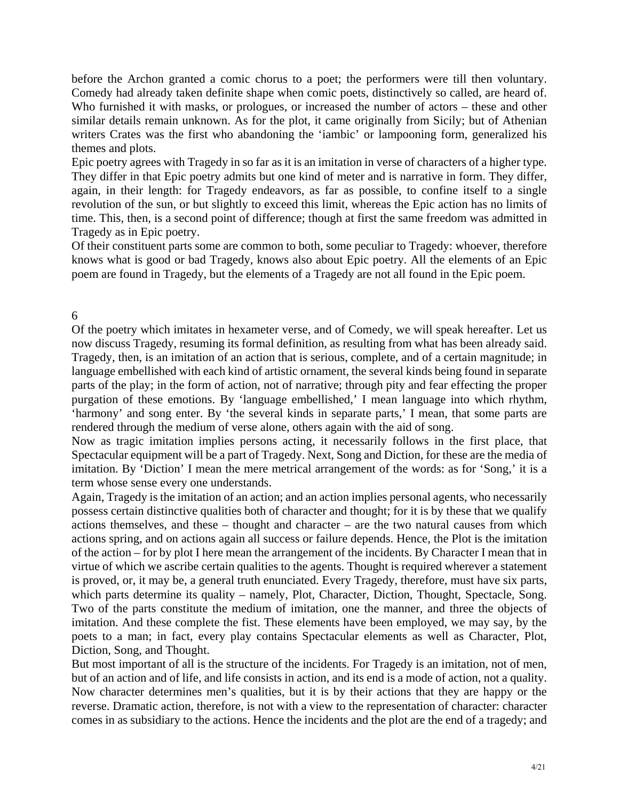before the Archon granted a comic chorus to a poet; the performers were till then voluntary. Comedy had already taken definite shape when comic poets, distinctively so called, are heard of. Who furnished it with masks, or prologues, or increased the number of actors – these and other similar details remain unknown. As for the plot, it came originally from Sicily; but of Athenian writers Crates was the first who abandoning the 'iambic' or lampooning form, generalized his themes and plots.

Epic poetry agrees with Tragedy in so far as it is an imitation in verse of characters of a higher type. They differ in that Epic poetry admits but one kind of meter and is narrative in form. They differ, again, in their length: for Tragedy endeavors, as far as possible, to confine itself to a single revolution of the sun, or but slightly to exceed this limit, whereas the Epic action has no limits of time. This, then, is a second point of difference; though at first the same freedom was admitted in Tragedy as in Epic poetry.

knows what is good or bad Tragedy, knows also about Epic poetry. All the elements of an Epic Of their constituent parts some are common to both, some peculiar to Tragedy: whoever, therefore poem are found in Tragedy, but the elements of a Tragedy are not all found in the Epic poem.

# 6

Of the poetry which imitates in hexameter verse, and of Comedy, we will speak hereafter. Let us now discuss Tragedy, resuming its formal definition, as resulting from what has been already said. Tragedy, then, is an imitation of an action that is serious, complete, and of a certain magnitude; in purgation of these emotions. By 'language embellished,' I mean language into which rhythm, language embellished with each kind of artistic ornament, the several kinds being found in separate parts of the play; in the form of action, not of narrative; through pity and fear effecting the proper 'harmony' and song enter. By 'the several kinds in separate parts,' I mean, that some parts are rendered through the medium of verse alone, others again with the aid of song.

Now as tragic imitation implies persons acting, it necessarily follows in the first place, that Spectacular equipment will be a part of Tragedy. Next, Song and Diction, for these are the media of imitation. By 'Diction' I mean the mere metrical arrangement of the words: as for 'Song,' it is a term whose sense every one understands.

actions spring, and on actions again all success or failure depends. Hence, the Plot is the imitation Again, Tragedy is the imitation of an action; and an action implies personal agents, who necessarily possess certain distinctive qualities both of character and thought; for it is by these that we qualify actions themselves, and these – thought and character – are the two natural causes from which of the action – for by plot I here mean the arrangement of the incidents. By Character I mean that in virtue of which we ascribe certain qualities to the agents. Thought is required wherever a statement is proved, or, it may be, a general truth enunciated. Every Tragedy, therefore, must have six parts, which parts determine its quality – namely, Plot, Character, Diction, Thought, Spectacle, Song. Two of the parts constitute the medium of imitation, one the manner, and three the objects of imitation. And these complete the fist. These elements have been employed, we may say, by the poets to a man; in fact, every play contains Spectacular elements as well as Character, Plot, Diction, Song, and Thought.

reverse. Dramatic action, therefore, is not with a view to the representation of character: character comes in as subsidiary to the actions. Hence the incidents and the plot are the end of a tragedy; and But most important of all is the structure of the incidents. For Tragedy is an imitation, not of men, but of an action and of life, and life consists in action, and its end is a mode of action, not a quality. Now character determines men's qualities, but it is by their actions that they are happy or the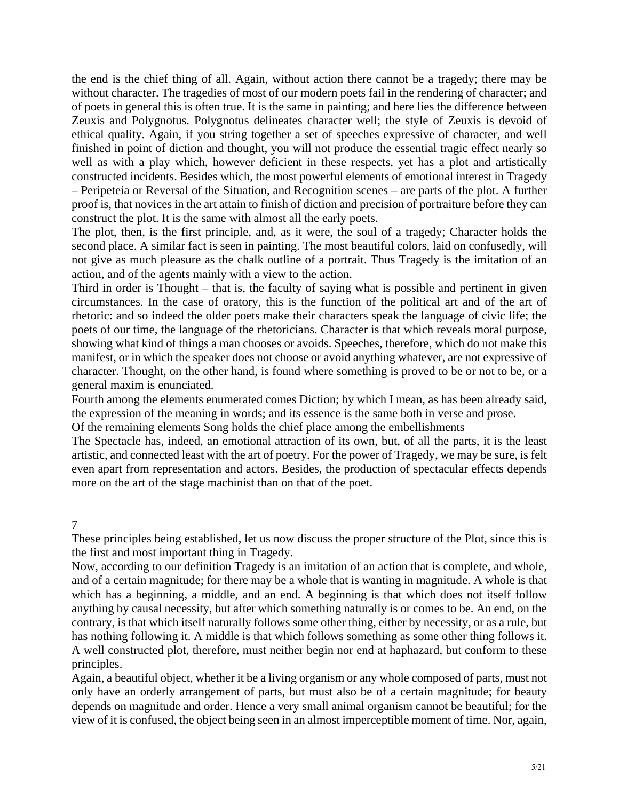the end is the chief thing of all. Again, without action there cannot be a tragedy; there may be without character. The tragedies of most of our modern poets fail in the rendering of character; and of poets in general this is often true. It is the same in painting; and here lies the difference between Zeuxis and Polygnotus. Polygnotus delineates character well; the style of Zeuxis is devoid of ethical quality. Again, if you string together a set of speeches expressive of character, and well finished in point of diction and thought, you will not produce the essential tragic effect nearly so well as with a play which, however deficient in these respects, yet has a plot and artistically constructed incidents. Besides which, the most powerful elements of emotional interest in Tragedy – Peripeteia or Reversal of the Situation, and Recognition scenes – are parts of the plot. A further proof is, that novices in the art attain to finish of diction and precision of portraiture before they can construct the plot. It is the same with almost all the early poets.

The plot, then, is the first principle, and, as it were, the soul of a tragedy; Character holds the second place. A similar fact is seen in painting. The most beautiful colors, laid on confusedly, will not give as much pleasure as the chalk outline of a portrait. Thus Tragedy is the imitation of an action, and of the agents mainly with a view to the action.

Third in order is Thought – that is, the faculty of saying what is possible and pertinent in given circumstances. In the case of oratory, this is the function of the political art and of the art of manifest, or in which the speaker does not choose or avoid anything whatever, are not expressive of rhetoric: and so indeed the older poets make their characters speak the language of civic life; the poets of our time, the language of the rhetoricians. Character is that which reveals moral purpose, showing what kind of things a man chooses or avoids. Speeches, therefore, which do not make this character. Thought, on the other hand, is found where something is proved to be or not to be, or a general maxim is enunciated.

Fourth among the elements enumerated comes Diction; by which I mean, as has been already said, the expression of the meaning in words; and its essence is the same both in verse and prose.

Of the remaining elements Song holds the chief place among the embellishments

even apart from representation and actors. Besides, the production of spectacular effects depends The Spectacle has, indeed, an emotional attraction of its own, but, of all the parts, it is the least artistic, and connected least with the art of poetry. For the power of Tragedy, we may be sure, is felt more on the art of the stage machinist than on that of the poet.

7

These principles being established, let us now discuss the proper structure of the Plot, since this is the first and most important thing in Tragedy.

Now, according to our definition Tragedy is an imitation of an action that is complete, and whole, and of a certain magnitude; for there may be a whole that is wanting in magnitude. A whole is that which has a beginning, a middle, and an end. A beginning is that which does not itself follow anything by causal necessity, but after which something naturally is or comes to be. An end, on the has nothing following it. A middle is that which follows something as some other thing follows it. contrary, is that which itself naturally follows some other thing, either by necessity, or as a rule, but A well constructed plot, therefore, must neither begin nor end at haphazard, but conform to these principles.

Again, a beautiful object, whether it be a living organism or any whole composed of parts, must not only have an orderly arrangement of parts, but must also be of a certain magnitude; for beauty depends on magnitude and order. Hence a very small animal organism cannot be beautiful; for the view of it is confused, the object being seen in an almost imperceptible moment of time. Nor, again,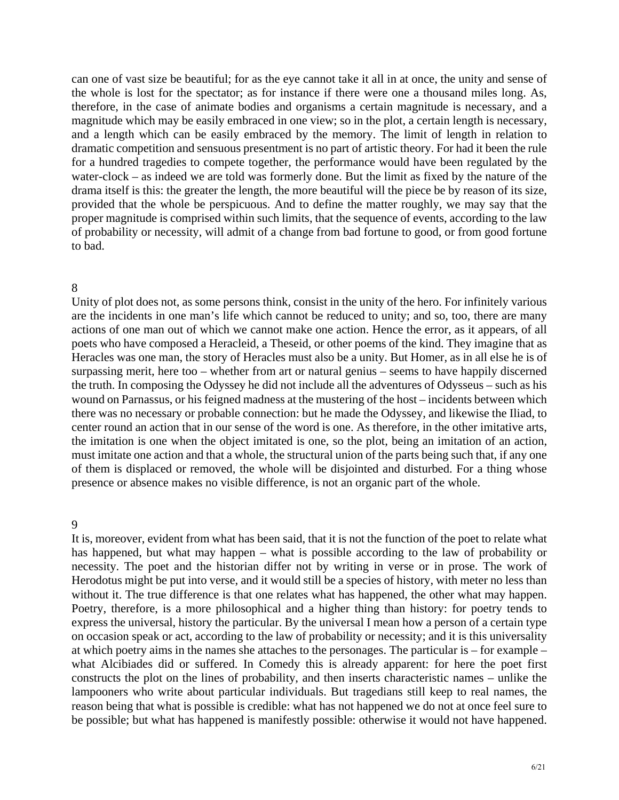can one of vast size be beautiful; for as the eye cannot take it all in at once, the unity and sense of the whole is lost for the spectator; as for instance if there were one a thousand miles long. As, therefore, in the case of animate bodies and organisms a certain magnitude is necessary, and a magnitude which may be easily embraced in one view; so in the plot, a certain length is necessary, and a length which can be easily embraced by the memory. The limit of length in relation to dramatic competition and sensuous presentment is no part of artistic theory. For had it been the rule for a hundred tragedies to compete together, the performance would have been regulated by the water-clock – as indeed we are told was formerly done. But the limit as fixed by the nature of the drama itself is this: the greater the length, the more beautiful will the piece be by reason of its size, provided that the whole be perspicuous. And to define the matter roughly, we may say that the proper magnitude is comprised within such limits, that the sequence of events, according to the law of probability or necessity, will admit of a change from bad fortune to good, or from good fortune to bad.

#### 8

actions of one man out of which we cannot make one action. Hence the error, as it appears, of all poets who have composed a Heracleid, a Theseid, or other poems of the kind. They imagine that as Heracles was one man, the story of Heracles must also be a unity. But Homer, as in all else he is of surpassing merit, here too – whether from art or natural genius – seems to have happily discerned Unity of plot does not, as some persons think, consist in the unity of the hero. For infinitely various are the incidents in one man's life which cannot be reduced to unity; and so, too, there are many the truth. In composing the Odyssey he did not include all the adventures of Odysseus – such as his wound on Parnassus, or his feigned madness at the mustering of the host – incidents between which there was no necessary or probable connection: but he made the Odyssey, and likewise the Iliad, to center round an action that in our sense of the word is one. As therefore, in the other imitative arts, the imitation is one when the object imitated is one, so the plot, being an imitation of an action, must imitate one action and that a whole, the structural union of the parts being such that, if any one of them is displaced or removed, the whole will be disjointed and disturbed. For a thing whose presence or absence makes no visible difference, is not an organic part of the whole.

#### 9

Herodotus might be put into verse, and it would still be a species of history, with meter no less than without it. The true difference is that one relates what has happened, the other what may happen. Poetry, therefore, is a more philosophical and a higher thing than history: for poetry tends to express the universal, history the particular. By the universal I mean how a person of a certain type It is, moreover, evident from what has been said, that it is not the function of the poet to relate what has happened, but what may happen – what is possible according to the law of probability or necessity. The poet and the historian differ not by writing in verse or in prose. The work of on occasion speak or act, according to the law of probability or necessity; and it is this universality at which poetry aims in the names she attaches to the personages. The particular is – for example – what Alcibiades did or suffered. In Comedy this is already apparent: for here the poet first constructs the plot on the lines of probability, and then inserts characteristic names – unlike the lampooners who write about particular individuals. But tragedians still keep to real names, the reason being that what is possible is credible: what has not happened we do not at once feel sure to be possible; but what has happened is manifestly possible: otherwise it would not have happened.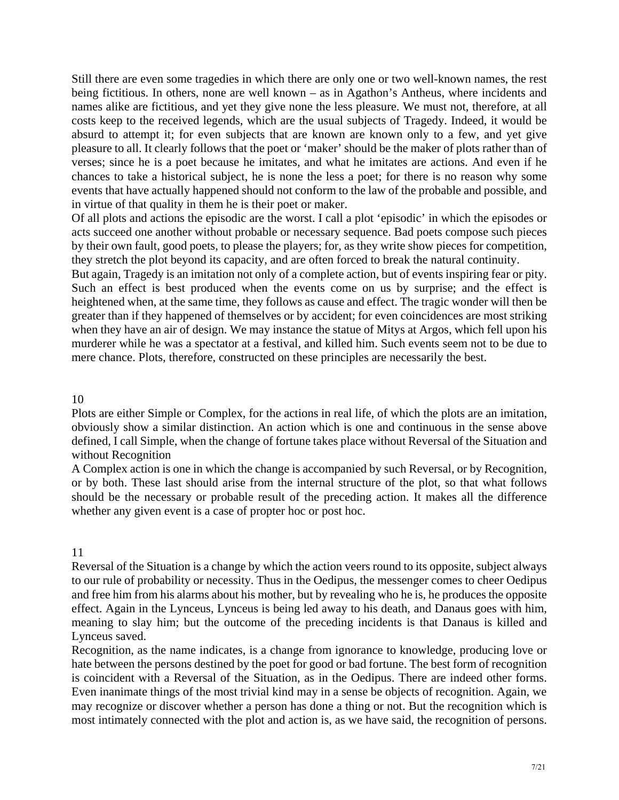Still there are even some tragedies in which there are only one or two well-known names, the rest being fictitious. In others, none are well known – as in Agathon's Antheus, where incidents and names alike are fictitious, and yet they give none the less pleasure. We must not, therefore, at all costs keep to the received legends, which are the usual subjects of Tragedy. Indeed, it would be absurd to attempt it; for even subjects that are known are known only to a few, and yet give pleasure to all. It clearly follows that the poet or 'maker' should be the maker of plots rather than of verses; since he is a poet because he imitates, and what he imitates are actions. And even if he chances to take a historical subject, he is none the less a poet; for there is no reason why some events that have actually happened should not conform to the law of the probable and possible, and in virtue of that quality in them he is their poet or maker.

Of all plots and actions the episodic are the worst. I call a plot 'episodic' in which the episodes or acts succeed one another without probable or necessary sequence. Bad poets compose such pieces by their own fault, good poets, to please the players; for, as they write show pieces for competition, they stretch the plot beyond its capacity, and are often forced to break the natural continuity.

But again, Tragedy is an imitation not only of a complete action, but of events inspiring fear or pity. Such an effect is best produced when the events come on us by surprise; and the effect is heightened when, at the same time, they follows as cause and effect. The tragic wonder will then be greater than if they happened of themselves or by accident; for even coincidences are most striking when they have an air of design. We may instance the statue of Mitys at Argos, which fell upon his murderer while he was a spectator at a festival, and killed him. Such events seem not to be due to mere chance. Plots, therefore, constructed on these principles are necessarily the best.

10

Plots are either Simple or Complex, for the actions in real life, of which the plots are an imitation, obviously show a similar distinction. An action which is one and continuous in the sense above defined, I call Simple, when the change of fortune takes place without Reversal of the Situation and without Recognition

or by both. These last should arise from the internal structure of the plot, so that what follows should be the necessary or probable result of the preceding action. It makes all the difference whether any given event is a case of propter hoc or post hoc. A Complex action is one in which the change is accompanied by such Reversal, or by Recognition,

11

to our rule of probability or necessity. Thus in the Oedipus, the messenger comes to cheer Oedipus Reversal of the Situation is a change by which the action veers round to its opposite, subject always and free him from his alarms about his mother, but by revealing who he is, he produces the opposite effect. Again in the Lynceus, Lynceus is being led away to his death, and Danaus goes with him, meaning to slay him; but the outcome of the preceding incidents is that Danaus is killed and Lynceus saved.

Recognition, as the name indicates, is a change from ignorance to knowledge, producing love or hate between the persons destined by the poet for good or bad fortune. The best form of recognition is coincident with a Reversal of the Situation, as in the Oedipus. There are indeed other forms. Even inanimate things of the most trivial kind may in a sense be objects of recognition. Again, we may recognize or discover whether a person has done a thing or not. But the recognition which is most intimately connected with the plot and action is, as we have said, the recognition of persons.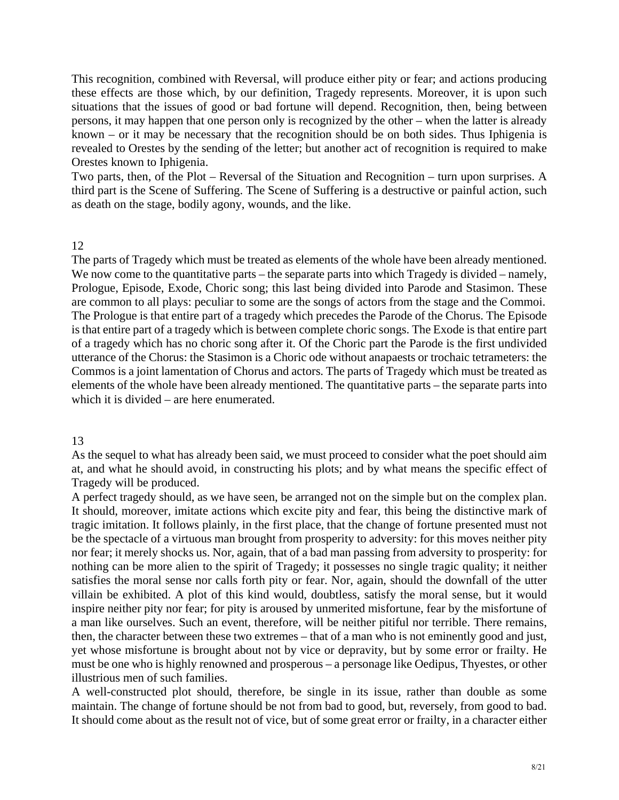This recognition, combined with Reversal, will produce either pity or fear; and actions producing these effects are those which, by our definition, Tragedy represents. Moreover, it is upon such situations that the issues of good or bad fortune will depend. Recognition, then, being between persons, it may happen that one person only is recognized by the other – when the latter is already known – or it may be necessary that the recognition should be on both sides. Thus Iphigenia is revealed to Orestes by the sending of the letter; but another act of recognition is required to make Orestes known to Iphigenia.

Two parts, then, of the Plot – Reversal of the Situation and Recognition – turn upon surprises. A third part is the Scene of Suffering. The Scene of Suffering is a destructive or painful action, such as death on the stage, bodily agony, wounds, and the like.

# 12

Prologue, Episode, Exode, Choric song; this last being divided into Parode and Stasimon. These is that entire part of a tragedy which is between complete choric songs. The Exode is that entire part of a tragedy which has no choric song after it. Of the Choric part the Parode is the first undivided utterance of the Chorus: the Stasimon is a Choric ode without anapaests or trochaic tetrameters: the Commos is a joint lamentation of Chorus and actors. The parts of Tragedy which must be treated as The parts of Tragedy which must be treated as elements of the whole have been already mentioned. We now come to the quantitative parts – the separate parts into which Tragedy is divided – namely, are common to all plays: peculiar to some are the songs of actors from the stage and the Commoi. The Prologue is that entire part of a tragedy which precedes the Parode of the Chorus. The Episode elements of the whole have been already mentioned. The quantitative parts – the separate parts into which it is divided – are here enumerated.

# 13

As the sequel to what has already been said, we must proceed to consider what the poet should aim at, and what he should avoid, in constructing his plots; and by what means the specific effect of Tragedy will be produced.

be the spectacle of a virtuous man brought from prosperity to adversity: for this moves neither pity nor fear; it merely shocks us. Nor, again, that of a bad man passing from adversity to prosperity: for nothing can be more alien to the spirit of Tragedy; it possesses no single tragic quality; it neither satisfies the moral sense nor calls forth pity or fear. Nor, again, should the downfall of the utter a man like ourselves. Such an event, therefore, will be neither pitiful nor terrible. There remains, A perfect tragedy should, as we have seen, be arranged not on the simple but on the complex plan. It should, moreover, imitate actions which excite pity and fear, this being the distinctive mark of tragic imitation. It follows plainly, in the first place, that the change of fortune presented must not villain be exhibited. A plot of this kind would, doubtless, satisfy the moral sense, but it would inspire neither pity nor fear; for pity is aroused by unmerited misfortune, fear by the misfortune of then, the character between these two extremes – that of a man who is not eminently good and just, yet whose misfortune is brought about not by vice or depravity, but by some error or frailty. He must be one who is highly renowned and prosperous – a personage like Oedipus, Thyestes, or other illustrious men of such families.

A well-constructed plot should, therefore, be single in its issue, rather than double as some maintain. The change of fortune should be not from bad to good, but, reversely, from good to bad. It should come about as the result not of vice, but of some great error or frailty, in a character either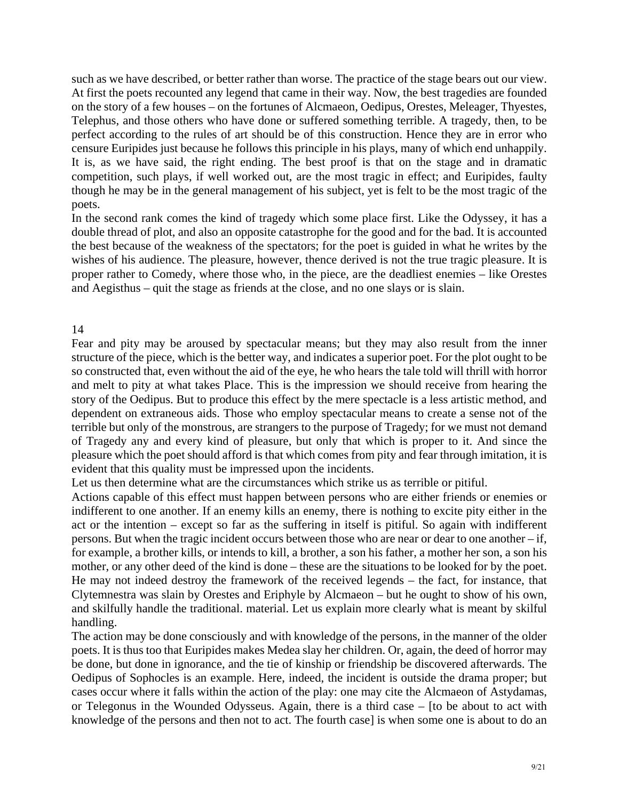such as we have described, or better rather than worse. The practice of the stage bears out our view. At first the poets recounted any legend that came in their way. Now, the best tragedies are founded on the story of a few houses – on the fortunes of Alcmaeon, Oedipus, Orestes, Meleager, Thyestes, Telephus, and those others who have done or suffered something terrible. A tragedy, then, to be perfect according to the rules of art should be of this construction. Hence they are in error who censure Euripides just because he follows this principle in his plays, many of which end unhappily. It is, as we have said, the right ending. The best proof is that on the stage and in dramatic competition, such plays, if well worked out, are the most tragic in effect; and Euripides, faulty though he may be in the general management of his subject, yet is felt to be the most tragic of the poets.

In the second rank comes the kind of tragedy which some place first. Like the Odyssey, it has a double thread of plot, and also an opposite catastrophe for the good and for the bad. It is accounted the best because of the weakness of the spectators; for the poet is guided in what he writes by the wishes of his audience. The pleasure, however, thence derived is not the true tragic pleasure. It is proper rather to Comedy, where those who, in the piece, are the deadliest enemies – like Orestes and Aegisthus – quit the stage as friends at the close, and no one slays or is slain.

# 14

Fear and pity may be aroused by spectacular means; but they may also result from the inner terrible but only of the monstrous, are strangers to the purpose of Tragedy; for we must not demand of Tragedy any and every kind of pleasure, but only that which is proper to it. And since the pleasure which the poet should afford is that which comes from pity and fear through imitation, it is evident that this quality must be impressed upon the incidents. structure of the piece, which is the better way, and indicates a superior poet. For the plot ought to be so constructed that, even without the aid of the eye, he who hears the tale told will thrill with horror and melt to pity at what takes Place. This is the impression we should receive from hearing the story of the Oedipus. But to produce this effect by the mere spectacle is a less artistic method, and dependent on extraneous aids. Those who employ spectacular means to create a sense not of the

Let us then determine what are the circumstances which strike us as terrible or pitiful.

and skilfully handle the traditional. material. Let us explain more clearly what is meant by skilful Actions capable of this effect must happen between persons who are either friends or enemies or indifferent to one another. If an enemy kills an enemy, there is nothing to excite pity either in the act or the intention – except so far as the suffering in itself is pitiful. So again with indifferent persons. But when the tragic incident occurs between those who are near or dear to one another – if, for example, a brother kills, or intends to kill, a brother, a son his father, a mother her son, a son his mother, or any other deed of the kind is done – these are the situations to be looked for by the poet. He may not indeed destroy the framework of the received legends – the fact, for instance, that Clytemnestra was slain by Orestes and Eriphyle by Alcmaeon – but he ought to show of his own, handling.

The action may be done consciously and with knowledge of the persons, in the manner of the older poets. It is thus too that Euripides makes Medea slay her children. Or, again, the deed of horror may be done, but done in ignorance, and the tie of kinship or friendship be discovered afterwards. The Oedipus of Sophocles is an example. Here, indeed, the incident is outside the drama proper; but cases occur where it falls within the action of the play: one may cite the Alcmaeon of Astydamas, or Telegonus in the Wounded Odysseus. Again, there is a third case – [to be about to act with knowledge of the persons and then not to act. The fourth case] is when some one is about to do an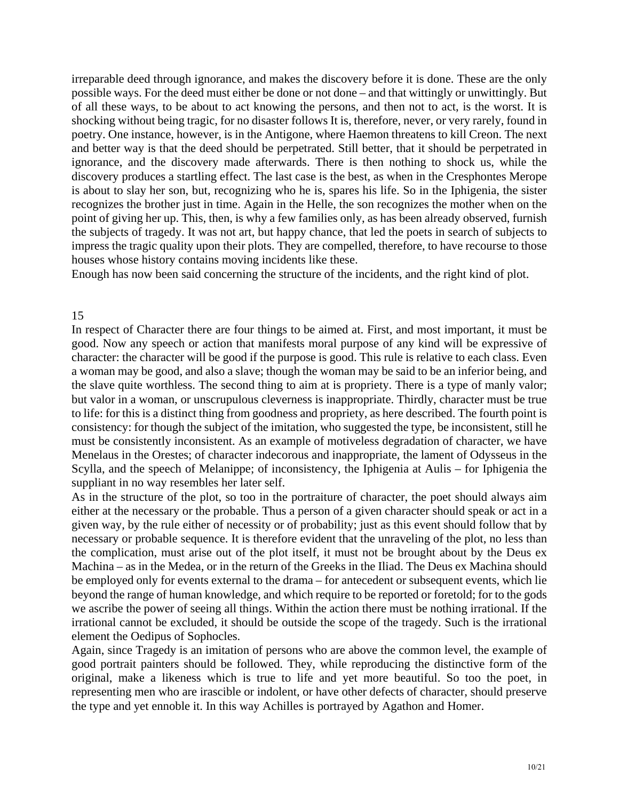irreparable deed through ignorance, and makes the discovery before it is done. These are the only possible ways. For the deed must either be done or not done – and that wittingly or unwittingly. But of all these ways, to be about to act knowing the persons, and then not to act, is the worst. It is shocking without being tragic, for no disaster follows It is, therefore, never, or very rarely, found in poetry. One instance, however, is in the Antigone, where Haemon threatens to kill Creon. The next and better way is that the deed should be perpetrated. Still better, that it should be perpetrated in ignorance, and the discovery made afterwards. There is then nothing to shock us, while the discovery produces a startling effect. The last case is the best, as when in the Cresphontes Merope is about to slay her son, but, recognizing who he is, spares his life. So in the Iphigenia, the sister recognizes the brother just in time. Again in the Helle, the son recognizes the mother when on the point of giving her up. This, then, is why a few families only, as has been already observed, furnish the subjects of tragedy. It was not art, but happy chance, that led the poets in search of subjects to impress the tragic quality upon their plots. They are compelled, therefore, to have recourse to those houses whose history contains moving incidents like these.

Enough has now been said concerning the structure of the incidents, and the right kind of plot.

### 15

to life: for this is a distinct thing from goodness and propriety, as here described. The fourth point is consistency: for though the subject of the imitation, who suggested the type, be inconsistent, still he must be consistently inconsistent. As an example of motiveless degradation of character, we have Menelaus in the Orestes; of character indecorous and inappropriate, the lament of Odysseus in the Scylla, and the speech of Melanippe; of inconsistency, the Iphigenia at Aulis – for Iphigenia the In respect of Character there are four things to be aimed at. First, and most important, it must be good. Now any speech or action that manifests moral purpose of any kind will be expressive of character: the character will be good if the purpose is good. This rule is relative to each class. Even a woman may be good, and also a slave; though the woman may be said to be an inferior being, and the slave quite worthless. The second thing to aim at is propriety. There is a type of manly valor; but valor in a woman, or unscrupulous cleverness is inappropriate. Thirdly, character must be true suppliant in no way resembles her later self.

As in the structure of the plot, so too in the portraiture of character, the poet should always aim either at the necessary or the probable. Thus a person of a given character should speak or act in a given way, by the rule either of necessity or of probability; just as this event should follow that by necessary or probable sequence. It is therefore evident that the unraveling of the plot, no less than the complication, must arise out of the plot itself, it must not be brought about by the Deus ex Machina – as in the Medea, or in the return of the Greeks in the Iliad. The Deus ex Machina should be employed only for events external to the drama – for antecedent or subsequent events, which lie beyond the range of human knowledge, and which require to be reported or foretold; for to the gods we ascribe the power of seeing all things. Within the action there must be nothing irrational. If the irrational cannot be excluded, it should be outside the scope of the tragedy. Such is the irrational element the Oedipus of Sophocles.

Again, since Tragedy is an imitation of persons who are above the common level, the example of good portrait painters should be followed. They, while reproducing the distinctive form of the original, make a likeness which is true to life and yet more beautiful. So too the poet, in representing men who are irascible or indolent, or have other defects of character, should preserve the type and yet ennoble it. In this way Achilles is portrayed by Agathon and Homer.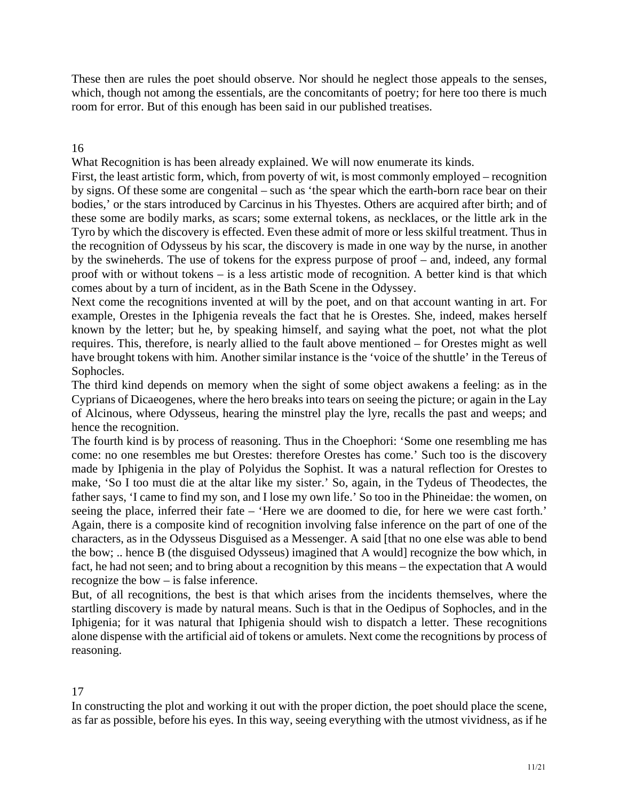These then are rules the poet should observe. Nor should he neglect those appeals to the senses, which, though not among the essentials, are the concomitants of poetry; for here too there is much room for error. But of this enough has been said in our published treatises.

# 16

What Recognition is has been already explained. We will now enumerate its kinds.

First, the least artistic form, which, from poverty of wit, is most commonly employed – recognition by signs. Of these some are congenital – such as 'the spear which the earth-born race bear on their bodies,' or the stars introduced by Carcinus in his Thyestes. Others are acquired after birth; and of these some are bodily marks, as scars; some external tokens, as necklaces, or the little ark in the by the swineherds. The use of tokens for the express purpose of proof – and, indeed, any formal proof with or without tokens – is a less artistic mode of recognition. A better kind is that which comes about by a turn of incident, as in the Bath Scene in the Odyssey. Tyro by which the discovery is effected. Even these admit of more or less skilful treatment. Thus in the recognition of Odysseus by his scar, the discovery is made in one way by the nurse, in another

Next come the recognitions invented at will by the poet, and on that account wanting in art. For example, Orestes in the Iphigenia reveals the fact that he is Orestes. She, indeed, makes herself known by the letter; but he, by speaking himself, and saying what the poet, not what the plot requires. This, therefore, is nearly allied to the fault above mentioned – for Orestes might as well have brought tokens with him. Another similar instance is the 'voice of the shuttle' in the Tereus of Sophocles.

The third kind depends on memory when the sight of some object awakens a feeling: as in the Cyprians of Dicaeogenes, where the hero breaks into tears on seeing the picture; or again in the Lay of Alcinous, where Odysseus, hearing the minstrel play the lyre, recalls the past and weeps; and hence the recognition.

come: no one resembles me but Orestes: therefore Orestes has come.' Such too is the discovery characters, as in the Odysseus Disguised as a Messenger. A said [that no one else was able to bend The fourth kind is by process of reasoning. Thus in the Choephori: 'Some one resembling me has made by Iphigenia in the play of Polyidus the Sophist. It was a natural reflection for Orestes to make, 'So I too must die at the altar like my sister.' So, again, in the Tydeus of Theodectes, the father says, 'I came to find my son, and I lose my own life.' So too in the Phineidae: the women, on seeing the place, inferred their fate – 'Here we are doomed to die, for here we were cast forth.' Again, there is a composite kind of recognition involving false inference on the part of one of the the bow; .. hence B (the disguised Odysseus) imagined that A would] recognize the bow which, in fact, he had not seen; and to bring about a recognition by this means – the expectation that A would recognize the bow – is false inference.

But, of all recognitions, the best is that which arises from the incidents themselves, where the startling discovery is made by natural means. Such is that in the Oedipus of Sophocles, and in the Iphigenia; for it was natural that Iphigenia should wish to dispatch a letter. These recognitions alone dispense with the artificial aid of tokens or amulets. Next come the recognitions by process of reasoning.

# 17

In constructing the plot and working it out with the proper diction, the poet should place the scene, as far as possible, before his eyes. In this way, seeing everything with the utmost vividness, as if he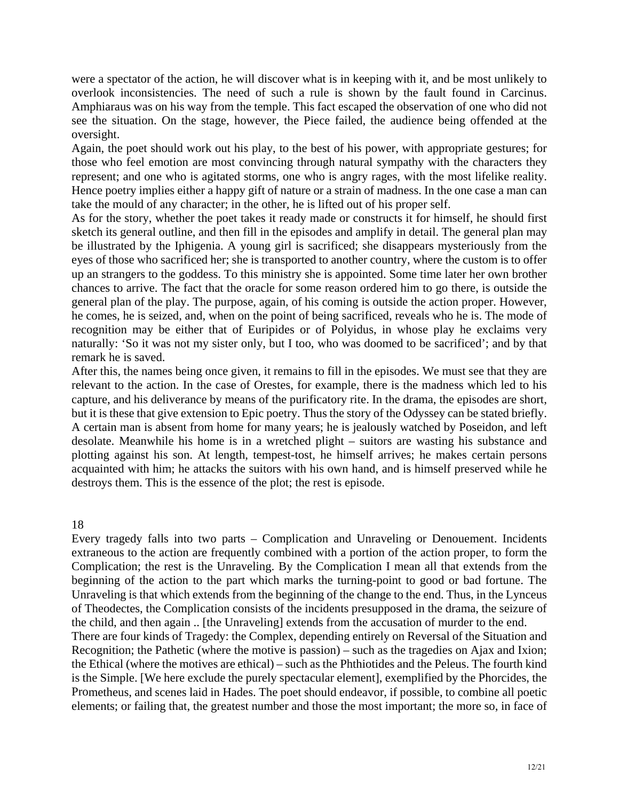were a spectator of the action, he will discover what is in keeping with it, and be most unlikely to overlook inconsistencies. The need of such a rule is shown by the fault found in Carcinus. Amphiaraus was on his way from the temple. This fact escaped the observation of one who did not see the situation. On the stage, however, the Piece failed, the audience being offended at the oversight.

those who feel emotion are most convincing through natural sympathy with the characters they represent; and one who is agitated storms, one who is angry rages, with the most lifelike reality. Hence poetry implies either a happy gift of nature or a strain of madness. In the one case a man can take the mould of any character; in the other, he is lifted out of his proper self. Again, the poet should work out his play, to the best of his power, with appropriate gestures; for

general plan of the play. The purpose, again, of his coming is outside the action proper. However, As for the story, whether the poet takes it ready made or constructs it for himself, he should first sketch its general outline, and then fill in the episodes and amplify in detail. The general plan may be illustrated by the Iphigenia. A young girl is sacrificed; she disappears mysteriously from the eyes of those who sacrificed her; she is transported to another country, where the custom is to offer up an strangers to the goddess. To this ministry she is appointed. Some time later her own brother chances to arrive. The fact that the oracle for some reason ordered him to go there, is outside the he comes, he is seized, and, when on the point of being sacrificed, reveals who he is. The mode of recognition may be either that of Euripides or of Polyidus, in whose play he exclaims very naturally: 'So it was not my sister only, but I too, who was doomed to be sacrificed'; and by that remark he is saved.

After this, the names being once given, it remains to fill in the episodes. We must see that they are relevant to the action. In the case of Orestes, for example, there is the madness which led to his capture, and his deliverance by means of the purificatory rite. In the drama, the episodes are short, but it is these that give extension to Epic poetry. Thus the story of the Odyssey can be stated briefly. A certain man is absent from home for many years; he is jealously watched by Poseidon, and left desolate. Meanwhile his home is in a wretched plight – suitors are wasting his substance and plotting against his son. At length, tempest-tost, he himself arrives; he makes certain persons acquainted with him; he attacks the suitors with his own hand, and is himself preserved while he destroys them. This is the essence of the plot; the rest is episode.

18

Recognition; the Pathetic (where the motive is passion) – such as the tragedies on Ajax and Ixion; the Ethical (where the motives are ethical) – such as the Phthiotides and the Peleus. The fourth kind is the Simple. [We here exclude the purely spectacular element], exemplified by the Phorcides, the Prometheus, and scenes laid in Hades. The poet should endeavor, if possible, to combine all poetic Every tragedy falls into two parts – Complication and Unraveling or Denouement. Incidents extraneous to the action are frequently combined with a portion of the action proper, to form the Complication; the rest is the Unraveling. By the Complication I mean all that extends from the beginning of the action to the part which marks the turning-point to good or bad fortune. The Unraveling is that which extends from the beginning of the change to the end. Thus, in the Lynceus of Theodectes, the Complication consists of the incidents presupposed in the drama, the seizure of the child, and then again .. [the Unraveling] extends from the accusation of murder to the end. There are four kinds of Tragedy: the Complex, depending entirely on Reversal of the Situation and elements; or failing that, the greatest number and those the most important; the more so, in face of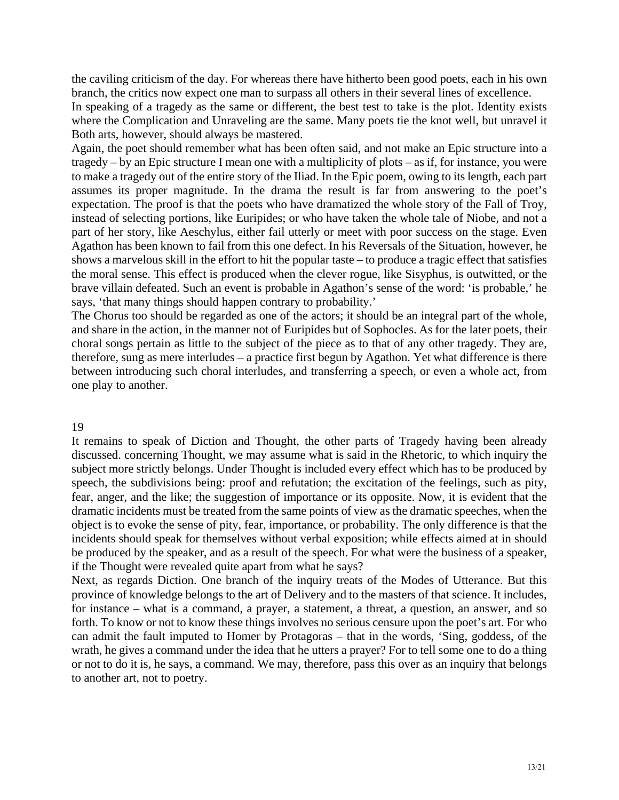the caviling criticism of the day. For whereas there have hitherto been good poets, each in his own branch, the critics now expect one man to surpass all others in their several lines of excellence.

In speaking of a tragedy as the same or different, the best test to take is the plot. Identity exists where the Complication and Unraveling are the same. Many poets tie the knot well, but unravel it Both arts, however, should always be mastered.

Again, the poet should remember what has been often said, and not make an Epic structure into a the moral sense. This effect is produced when the clever rogue, like Sisyphus, is outwitted, or the tragedy – by an Epic structure I mean one with a multiplicity of plots – as if, for instance, you were to make a tragedy out of the entire story of the Iliad. In the Epic poem, owing to its length, each part assumes its proper magnitude. In the drama the result is far from answering to the poet's expectation. The proof is that the poets who have dramatized the whole story of the Fall of Troy, instead of selecting portions, like Euripides; or who have taken the whole tale of Niobe, and not a part of her story, like Aeschylus, either fail utterly or meet with poor success on the stage. Even Agathon has been known to fail from this one defect. In his Reversals of the Situation, however, he shows a marvelous skill in the effort to hit the popular taste – to produce a tragic effect that satisfies brave villain defeated. Such an event is probable in Agathon's sense of the word: 'is probable,' he says, 'that many things should happen contrary to probability.'

The Chorus too should be regarded as one of the actors; it should be an integral part of the whole, and share in the action, in the manner not of Euripides but of Sophocles. As for the later poets, their choral songs pertain as little to the subject of the piece as to that of any other tragedy. They are, therefore, sung as mere interludes – a practice first begun by Agathon. Yet what difference is there between introducing such choral interludes, and transferring a speech, or even a whole act, from one play to another.

#### 19

speech, the subdivisions being: proof and refutation; the excitation of the feelings, such as pity, if the Thought were revealed quite apart from what he says? It remains to speak of Diction and Thought, the other parts of Tragedy having been already discussed. concerning Thought, we may assume what is said in the Rhetoric, to which inquiry the subject more strictly belongs. Under Thought is included every effect which has to be produced by fear, anger, and the like; the suggestion of importance or its opposite. Now, it is evident that the dramatic incidents must be treated from the same points of view as the dramatic speeches, when the object is to evoke the sense of pity, fear, importance, or probability. The only difference is that the incidents should speak for themselves without verbal exposition; while effects aimed at in should be produced by the speaker, and as a result of the speech. For what were the business of a speaker,

Next, as regards Diction. One branch of the inquiry treats of the Modes of Utterance. But this province of knowledge belongs to the art of Delivery and to the masters of that science. It includes, for instance – what is a command, a prayer, a statement, a threat, a question, an answer, and so forth. To know or not to know these things involves no serious censure upon the poet's art. For who can admit the fault imputed to Homer by Protagoras – that in the words, 'Sing, goddess, of the wrath, he gives a command under the idea that he utters a prayer? For to tell some one to do a thing or not to do it is, he says, a command. We may, therefore, pass this over as an inquiry that belongs to another art, not to poetry.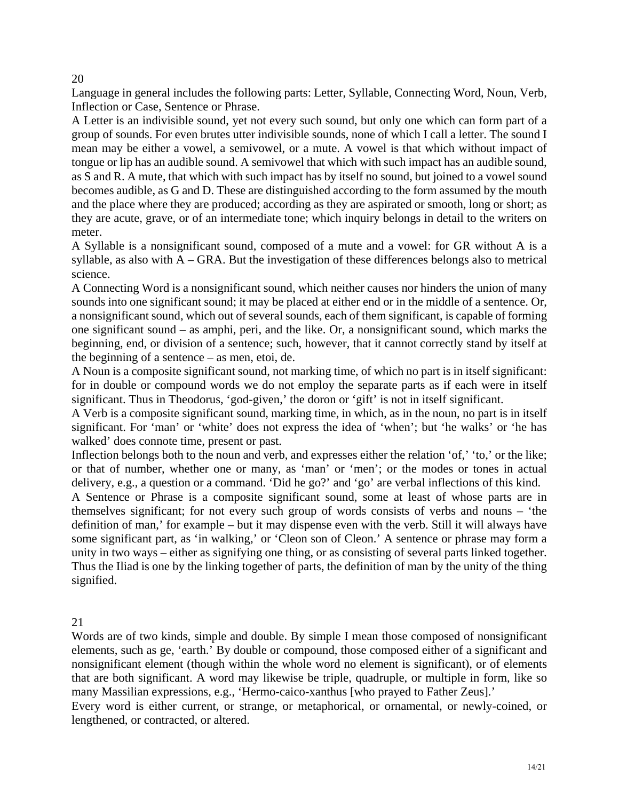20

Language in general includes the following parts: Letter, Syllable, Connecting Word, Noun, Verb, Inflection or Case, Sentence or Phrase.

and the place where they are produced; according as they are aspirated or smooth, long or short; as they are acute, grave, or of an intermediate tone; which inquiry belongs in detail to the writers on meter. A Letter is an indivisible sound, yet not every such sound, but only one which can form part of a group of sounds. For even brutes utter indivisible sounds, none of which I call a letter. The sound I mean may be either a vowel, a semivowel, or a mute. A vowel is that which without impact of tongue or lip has an audible sound. A semivowel that which with such impact has an audible sound, as S and R. A mute, that which with such impact has by itself no sound, but joined to a vowel sound becomes audible, as G and D. These are distinguished according to the form assumed by the mouth

A Syllable is a nonsignificant sound, composed of a mute and a vowel: for GR without A is a syllable, as also with A – GRA. But the investigation of these differences belongs also to metrical science.

A Connecting Word is a nonsignificant sound, which neither causes nor hinders the union of many sounds into one significant sound; it may be placed at either end or in the middle of a sentence. Or, a nonsignificant sound, which out of several sounds, each of them significant, is capable of forming one significant sound – as amphi, peri, and the like. Or, a nonsignificant sound, which marks the beginning, end, or division of a sentence; such, however, that it cannot correctly stand by itself at the beginning of a sentence – as men, etoi, de.

significant. Thus in Theodorus, 'god-given,' the doron or 'gift' is not in itself significant. A Noun is a composite significant sound, not marking time, of which no part is in itself significant: for in double or compound words we do not employ the separate parts as if each were in itself

walked' does connote time, present or past. A Verb is a composite significant sound, marking time, in which, as in the noun, no part is in itself significant. For 'man' or 'white' does not express the idea of 'when'; but 'he walks' or 'he has

Inflection belongs both to the noun and verb, and expresses either the relation 'of,' 'to,' or the like; or that of number, whether one or many, as 'man' or 'men'; or the modes or tones in actual delivery, e.g., a question or a command. 'Did he go?' and 'go' are verbal inflections of this kind.

definition of man,' for example – but it may dispense even with the verb. Still it will always have A Sentence or Phrase is a composite significant sound, some at least of whose parts are in themselves significant; for not every such group of words consists of verbs and nouns – 'the some significant part, as 'in walking,' or 'Cleon son of Cleon.' A sentence or phrase may form a unity in two ways – either as signifying one thing, or as consisting of several parts linked together. Thus the Iliad is one by the linking together of parts, the definition of man by the unity of the thing signified.

21

Words are of two kinds, simple and double. By simple I mean those composed of nonsignificant elements, such as ge, 'earth.' By double or compound, those composed either of a significant and nonsignificant element (though within the whole word no element is significant), or of elements that are both significant. A word may likewise be triple, quadruple, or multiple in form, like so many Massilian expressions, e.g., 'Hermo-caico-xanthus [who prayed to Father Zeus].'

Every word is either current, or strange, or metaphorical, or ornamental, or newly-coined, or lengthened, or contracted, or altered.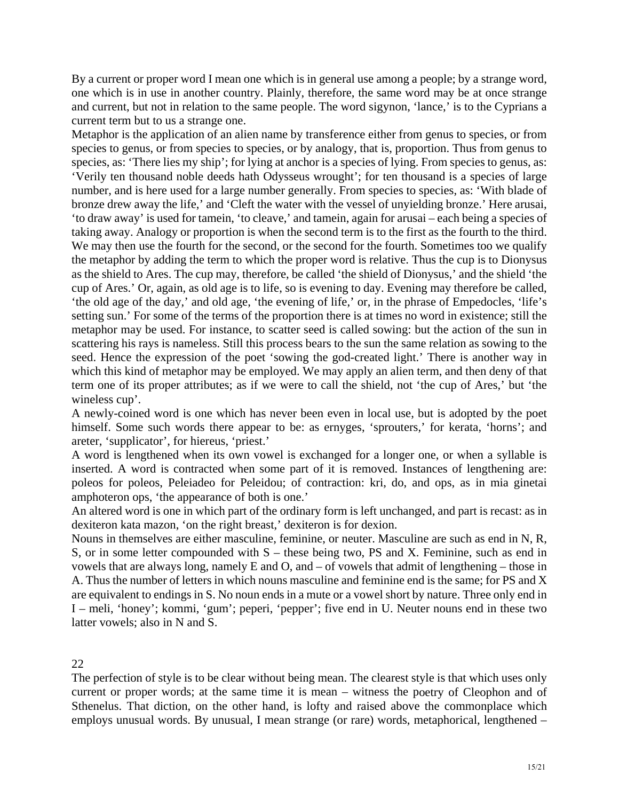By a current or proper word I mean one which is in general use among a people; by a strange word, one which is in use in another country. Plainly, therefore, the same word may be at once strange and current, but not in relation to the same people. The word sigynon, 'lance,' is to the Cyprians a current term but to us a strange one.

Metaphor is the application of an alien name by transference either from genus to species, or from bronze drew away the life,' and 'Cleft the water with the vessel of unyielding bronze.' Here arusai, taking away. Analogy or proportion is when the second term is to the first as the fourth to the third. cup of Ares.' Or, again, as old age is to life, so is evening to day. Evening may therefore be called, species to genus, or from species to species, or by analogy, that is, proportion. Thus from genus to species, as: 'There lies my ship'; for lying at anchor is a species of lying. From species to genus, as: 'Verily ten thousand noble deeds hath Odysseus wrought'; for ten thousand is a species of large number, and is here used for a large number generally. From species to species, as: 'With blade of 'to draw away' is used for tamein, 'to cleave,' and tamein, again for arusai – each being a species of We may then use the fourth for the second, or the second for the fourth. Sometimes too we qualify the metaphor by adding the term to which the proper word is relative. Thus the cup is to Dionysus as the shield to Ares. The cup may, therefore, be called 'the shield of Dionysus,' and the shield 'the 'the old age of the day,' and old age, 'the evening of life,' or, in the phrase of Empedocles, 'life's setting sun.' For some of the terms of the proportion there is at times no word in existence; still the metaphor may be used. For instance, to scatter seed is called sowing: but the action of the sun in scattering his rays is nameless. Still this process bears to the sun the same relation as sowing to the seed. Hence the expression of the poet 'sowing the god-created light.' There is another way in which this kind of metaphor may be employed. We may apply an alien term, and then deny of that term one of its proper attributes; as if we were to call the shield, not 'the cup of Ares,' but 'the wineless cup'.

A newly-coined word is one which has never been even in local use, but is adopted by the poet himself. Some such words there appear to be: as ernyges, 'sprouters,' for kerata, 'horns'; and areter, 'supplicator', for hiereus, 'priest.'

A word is lengthened when its own vowel is exchanged for a longer one, or when a syllable is inserted. A word is contracted when some part of it is removed. Instances of lengthening are: poleos for poleos, Peleiadeo for Peleidou; of contraction: kri, do, and ops, as in mia ginetai amphoteron ops, 'the appearance of both is one.'

An altered word is one in which part of the ordinary form is left unchanged, and part is recast: as in dexiteron kata mazon, 'on the right breast,' dexiteron is for dexion.

vowels that are always long, namely  $E$  and  $O$ , and  $-$  of vowels that admit of lengthening  $-$  those in I – meli, 'honey'; kommi, 'gum'; peperi, 'pepper'; five end in U. Neuter nouns end in these two Nouns in themselves are either masculine, feminine, or neuter. Masculine are such as end in N, R, S, or in some letter compounded with S – these being two, PS and X. Feminine, such as end in A. Thus the number of letters in which nouns masculine and feminine end is the same; for PS and X are equivalent to endings in S. No noun ends in a mute or a vowel short by nature. Three only end in latter vowels; also in N and S.

22

current or proper words; at the same time it is mean – witness the poetry of Cleophon and of The perfection of style is to be clear without being mean. The clearest style is that which uses only Sthenelus. That diction, on the other hand, is lofty and raised above the commonplace which employs unusual words. By unusual, I mean strange (or rare) words, metaphorical, lengthened –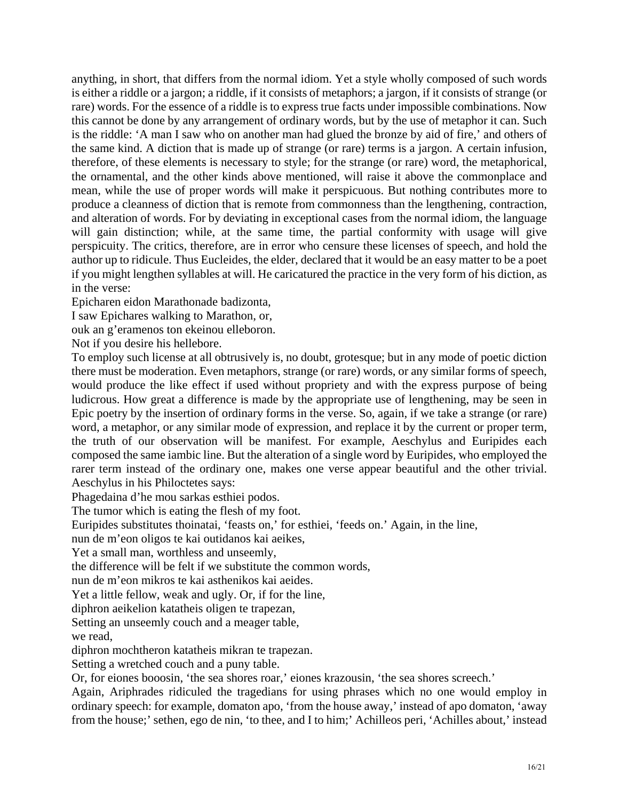anything, in short, that differs from the normal idiom. Yet a style wholly composed of such words is either a riddle or a jargon; a riddle, if it consists of metaphors; a jargon, if it consists of strange (or rare) words. For the essence of a riddle is to express true facts under impossible combinations. Now this cannot be done by any arrangement of ordinary words, but by the use of metaphor it can. Such is the riddle: 'A man I saw who on another man had glued the bronze by aid of fire,' and others of the same kind. A diction that is made up of strange (or rare) terms is a jargon. A certain infusion, therefore, of these elements is necessary to style; for the strange (or rare) word, the metaphorical, the ornamental, and the other kinds above mentioned, will raise it above the commonplace and mean, while the use of proper words will make it perspicuous. But nothing contributes more to produce a cleanness of diction that is remote from commonness than the lengthening, contraction, and alteration of words. For by deviating in exceptional cases from the normal idiom, the language will gain distinction; while, at the same time, the partial conformity with usage will give perspicuity. The critics, therefore, are in error who censure these licenses of speech, and hold the author up to ridicule. Thus Eucleides, the elder, declared that it would be an easy matter to be a poet if you might lengthen syllables at will. He caricatured the practice in the very form of his diction, as in the verse:

Epicharen eidon Marathonade badizonta,

I saw Epichares walking to Marathon, or,

ouk an g'eramenos ton ekeinou elleboron.

Not if you desire his hellebore.

composed the same iambic line. But the alteration of a single word by Euripides, who employed the rarer term instead of the ordinary one, makes one verse appear beautiful and the other trivial. To employ such license at all obtrusively is, no doubt, grotesque; but in any mode of poetic diction there must be moderation. Even metaphors, strange (or rare) words, or any similar forms of speech, would produce the like effect if used without propriety and with the express purpose of being ludicrous. How great a difference is made by the appropriate use of lengthening, may be seen in Epic poetry by the insertion of ordinary forms in the verse. So, again, if we take a strange (or rare) word, a metaphor, or any similar mode of expression, and replace it by the current or proper term, the truth of our observation will be manifest. For example, Aeschylus and Euripides each Aeschylus in his Philoctetes says:

Phagedaina d'he mou sarkas esthiei podos.

The tumor which is eating the flesh of my foot.

Euripides substitutes thoinatai, 'feasts on,' for esthiei, 'feeds on.' Again, in the line,

nun de m'eon oligos te kai outidanos kai aeikes,

Yet a small man, worthless and unseemly,

the difference will be felt if we substitute the common words,

nun de m'eon mikros te kai asthenikos kai aeides.

Yet a little fellow, weak and ugly. Or, if for the line,

diphron aeikelion katatheis oligen te trapezan,

Setting an unseemly couch and a meager table,

we read,

diphron mochtheron katatheis mikran te trapezan.

Setting a wretched couch and a puny table.

Or, for eiones booosin, 'the sea shores roar,' eiones krazousin, 'the sea shores screech.'

Again, Ariphrades ridiculed the tragedians for using phrases which no one would employ in ordinary speech: for example, domaton apo, 'from the house away,' instead of apo domaton, 'away from the house;' sethen, ego de nin, 'to thee, and I to him;' Achilleos peri, 'Achilles about,' instead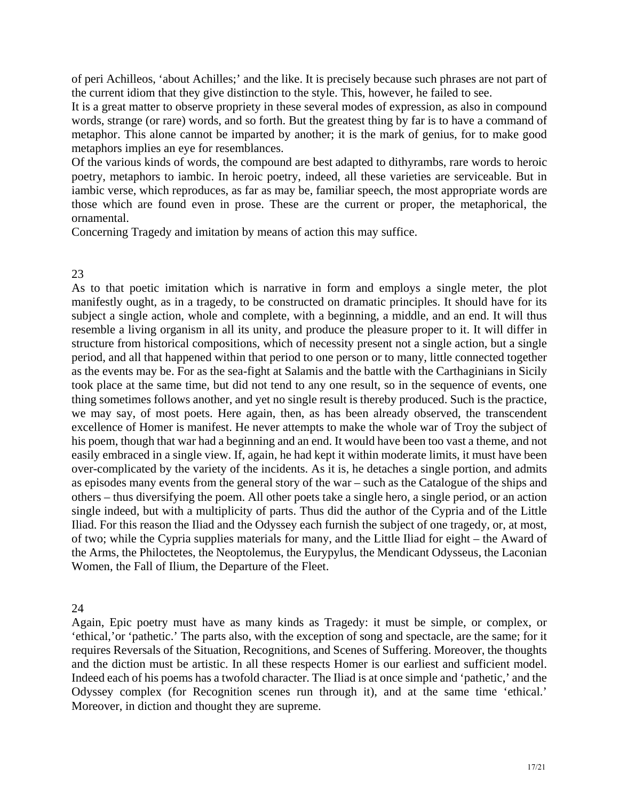of peri Achilleos, 'about Achilles;' and the like. It is precisely because such phrases are not part of the current idiom that they give distinction to the style. This, however, he failed to see.

It is a great matter to observe propriety in these several modes of expression, as also in compound words, strange (or rare) words, and so forth. But the greatest thing by far is to have a command of metaphor. This alone cannot be imparted by another; it is the mark of genius, for to make good metaphors implies an eye for resemblances.

Of the various kinds of words, the compound are best adapted to dithyrambs, rare words to heroic poetry, metaphors to iambic. In heroic poetry, indeed, all these varieties are serviceable. But in iambic verse, which reproduces, as far as may be, familiar speech, the most appropriate words are those which are found even in prose. These are the current or proper, the metaphorical, the ornamental.

Concerning Tragedy and imitation by means of action this may suffice.

# 23

resemble a living organism in all its unity, and produce the pleasure proper to it. It will differ in thing sometimes follows another, and yet no single result is thereby produced. Such is the practice, we may say, of most poets. Here again, then, as has been already observed, the transcendent excellence of Homer is manifest. He never attempts to make the whole war of Troy the subject of his poem, though that war had a beginning and an end. It would have been too vast a theme, and not easily embraced in a single view. If, again, he had kept it within moderate limits, it must have been As to that poetic imitation which is narrative in form and employs a single meter, the plot manifestly ought, as in a tragedy, to be constructed on dramatic principles. It should have for its subject a single action, whole and complete, with a beginning, a middle, and an end. It will thus structure from historical compositions, which of necessity present not a single action, but a single period, and all that happened within that period to one person or to many, little connected together as the events may be. For as the sea-fight at Salamis and the battle with the Carthaginians in Sicily took place at the same time, but did not tend to any one result, so in the sequence of events, one over-complicated by the variety of the incidents. As it is, he detaches a single portion, and admits as episodes many events from the general story of the war – such as the Catalogue of the ships and others – thus diversifying the poem. All other poets take a single hero, a single period, or an action single indeed, but with a multiplicity of parts. Thus did the author of the Cypria and of the Little Iliad. For this reason the Iliad and the Odyssey each furnish the subject of one tragedy, or, at most, of two; while the Cypria supplies materials for many, and the Little Iliad for eight – the Award of the Arms, the Philoctetes, the Neoptolemus, the Eurypylus, the Mendicant Odysseus, the Laconian Women, the Fall of Ilium, the Departure of the Fleet.

# 24

Again, Epic poetry must have as many kinds as Tragedy: it must be simple, or complex, or 'ethical,'or 'pathetic.' The parts also, with the exception of song and spectacle, are the same; for it requires Reversals of the Situation, Recognitions, and Scenes of Suffering. Moreover, the thoughts and the diction must be artistic. In all these respects Homer is our earliest and sufficient model. Indeed each of his poems has a twofold character. The Iliad is at once simple and 'pathetic,' and the Odyssey complex (for Recognition scenes run through it), and at the same time 'ethical.' Moreover, in diction and thought they are supreme.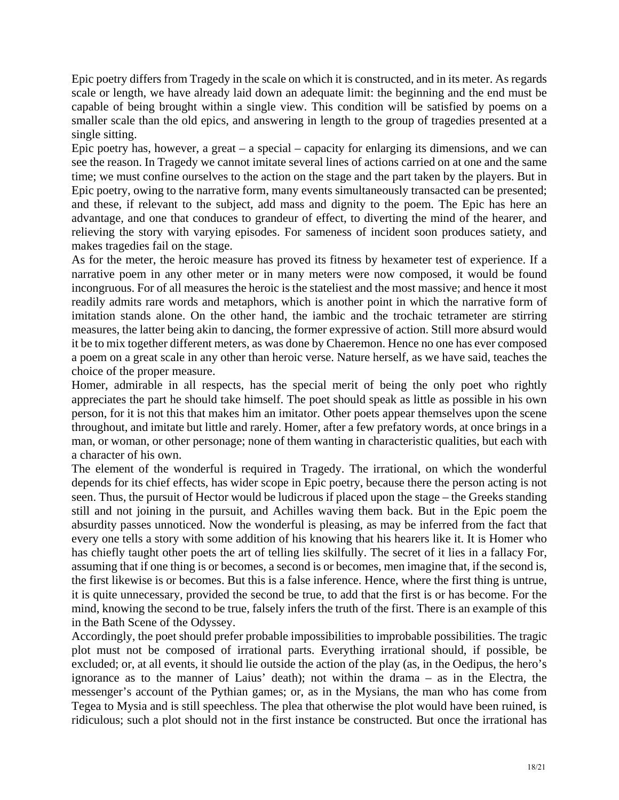Epic poetry differs from Tragedy in the scale on which it is constructed, and in its meter. As regards scale or length, we have already laid down an adequate limit: the beginning and the end must be capable of being brought within a single view. This condition will be satisfied by poems on a smaller scale than the old epics, and answering in length to the group of tragedies presented at a single sitting.

Epic poetry has, however, a great  $-$  a special  $-$  capacity for enlarging its dimensions, and we can see the reason. In Tragedy we cannot imitate several lines of actions carried on at one and the same time; we must confine ourselves to the action on the stage and the part taken by the players. But in Epic poetry, owing to the narrative form, many events simultaneously transacted can be presented; and these, if relevant to the subject, add mass and dignity to the poem. The Epic has here an advantage, and one that conduces to grandeur of effect, to diverting the mind of the hearer, and relieving the story with varying episodes. For sameness of incident soon produces satiety, and makes tragedies fail on the stage.

imitation stands alone. On the other hand, the iambic and the trochaic tetrameter are stirring As for the meter, the heroic measure has proved its fitness by hexameter test of experience. If a narrative poem in any other meter or in many meters were now composed, it would be found incongruous. For of all measures the heroic is the stateliest and the most massive; and hence it most readily admits rare words and metaphors, which is another point in which the narrative form of measures, the latter being akin to dancing, the former expressive of action. Still more absurd would it be to mix together different meters, as was done by Chaeremon. Hence no one has ever composed a poem on a great scale in any other than heroic verse. Nature herself, as we have said, teaches the choice of the proper measure.

throughout, and imitate but little and rarely. Homer, after a few prefatory words, at once brings in a Homer, admirable in all respects, has the special merit of being the only poet who rightly appreciates the part he should take himself. The poet should speak as little as possible in his own person, for it is not this that makes him an imitator. Other poets appear themselves upon the scene man, or woman, or other personage; none of them wanting in characteristic qualities, but each with a character of his own.

has chiefly taught other poets the art of telling lies skilfully. The secret of it lies in a fallacy For, The element of the wonderful is required in Tragedy. The irrational, on which the wonderful depends for its chief effects, has wider scope in Epic poetry, because there the person acting is not seen. Thus, the pursuit of Hector would be ludicrous if placed upon the stage – the Greeks standing still and not joining in the pursuit, and Achilles waving them back. But in the Epic poem the absurdity passes unnoticed. Now the wonderful is pleasing, as may be inferred from the fact that every one tells a story with some addition of his knowing that his hearers like it. It is Homer who assuming that if one thing is or becomes, a second is or becomes, men imagine that, if the second is, the first likewise is or becomes. But this is a false inference. Hence, where the first thing is untrue, it is quite unnecessary, provided the second be true, to add that the first is or has become. For the mind, knowing the second to be true, falsely infers the truth of the first. There is an example of this in the Bath Scene of the Odyssey.

Accordingly, the poet should prefer probable impossibilities to improbable possibilities. The tragic plot must not be composed of irrational parts. Everything irrational should, if possible, be excluded; or, at all events, it should lie outside the action of the play (as, in the Oedipus, the hero's ignorance as to the manner of Laius' death); not within the drama – as in the Electra, the messenger's account of the Pythian games; or, as in the Mysians, the man who has come from Tegea to Mysia and is still speechless. The plea that otherwise the plot would have been ruined, is ridiculous; such a plot should not in the first instance be constructed. But once the irrational has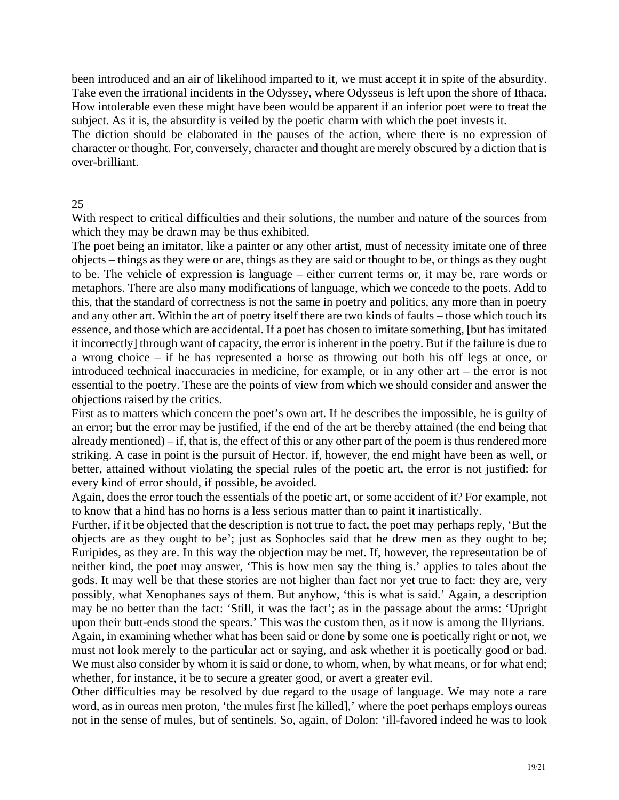been introduced and an air of likelihood imparted to it, we must accept it in spite of the absurdity. Take even the irrational incidents in the Odyssey, where Odysseus is left upon the shore of Ithaca. How intolerable even these might have been would be apparent if an inferior poet were to treat the subject. As it is, the absurdity is veiled by the poetic charm with which the poet invests it.

The diction should be elaborated in the pauses of the action, where there is no expression of character or thought. For, conversely, character and thought are merely obscured by a diction that is over-brilliant.

# 25

With respect to critical difficulties and their solutions, the number and nature of the sources from which they may be drawn may be thus exhibited.

and any other art. Within the art of poetry itself there are two kinds of faults – those which touch its a wrong choice – if he has represented a horse as throwing out both his off legs at once, or introduced technical inaccuracies in medicine, for example, or in any other  $art -$  the error is not essential to the poetry. These are the points of view from which we should consider and answer the objections raised by the critics. The poet being an imitator, like a painter or any other artist, must of necessity imitate one of three objects – things as they were or are, things as they are said or thought to be, or things as they ought to be. The vehicle of expression is language – either current terms or, it may be, rare words or metaphors. There are also many modifications of language, which we concede to the poets. Add to this, that the standard of correctness is not the same in poetry and politics, any more than in poetry essence, and those which are accidental. If a poet has chosen to imitate something, [but has imitated it incorrectly] through want of capacity, the error is inherent in the poetry. But if the failure is due to

an error; but the error may be justified, if the end of the art be thereby attained (the end being that First as to matters which concern the poet's own art. If he describes the impossible, he is guilty of already mentioned) – if, that is, the effect of this or any other part of the poem is thus rendered more striking. A case in point is the pursuit of Hector. if, however, the end might have been as well, or better, attained without violating the special rules of the poetic art, the error is not justified: for every kind of error should, if possible, be avoided.

Again, does the error touch the essentials of the poetic art, or some accident of it? For example, not to know that a hind has no horns is a less serious matter than to paint it inartistically.

possibly, what Xenophanes says of them. But anyhow, 'this is what is said.' Again, a description Further, if it be objected that the description is not true to fact, the poet may perhaps reply, 'But the objects are as they ought to be'; just as Sophocles said that he drew men as they ought to be; Euripides, as they are. In this way the objection may be met. If, however, the representation be of neither kind, the poet may answer, 'This is how men say the thing is.' applies to tales about the gods. It may well be that these stories are not higher than fact nor yet true to fact: they are, very may be no better than the fact: 'Still, it was the fact'; as in the passage about the arms: 'Upright upon their butt-ends stood the spears.' This was the custom then, as it now is among the Illyrians. Again, in examining whether what has been said or done by some one is poetically right or not, we

whether, for instance, it be to secure a greater good, or avert a greater evil. must not look merely to the particular act or saying, and ask whether it is poetically good or bad. We must also consider by whom it is said or done, to whom, when, by what means, or for what end;

word, as in oureas men proton, 'the mules first [he killed],' where the poet perhaps employs oureas not in the sense of mules, but of sentinels. So, again, of Dolon: 'ill-favored indeed he was to look Other difficulties may be resolved by due regard to the usage of language. We may note a rare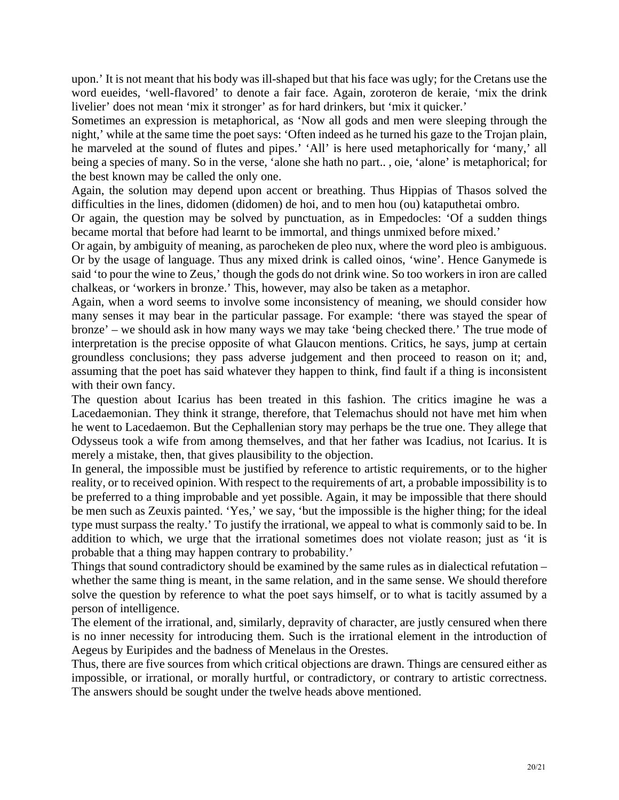upon.' It is not meant that his body was ill-shaped but that his face was ugly; for the Cretans use the word eueides, 'well-flavored' to denote a fair face. Again, zoroteron de keraie, 'mix the drink livelier' does not mean 'mix it stronger' as for hard drinkers, but 'mix it quicker.'

Sometimes an expression is metaphorical, as 'Now all gods and men were sleeping through the night,' while at the same time the poet says: 'Often indeed as he turned his gaze to the Trojan plain, he marveled at the sound of flutes and pipes.' 'All' is here used metaphorically for 'many,' all being a species of many. So in the verse, 'alone she hath no part.. , oie, 'alone' is metaphorical; for the best known may be called the only one.

Again, the solution may depend upon accent or breathing. Thus Hippias of Thasos solved the difficulties in the lines, didomen (didomen) de hoi, and to men hou (ou) kataputhetai ombro.

Or again, the question may be solved by punctuation, as in Empedocles: 'Of a sudden things became mortal that before had learnt to be immortal, and things unmixed before mixed.'

Or again, by ambiguity of meaning, as parocheken de pleo nux, where the word pleo is ambiguous. Or by the usage of language. Thus any mixed drink is called oinos, 'wine'. Hence Ganymede is said 'to pour the wine to Zeus,' though the gods do not drink wine. So too workers in iron are called chalkeas, or 'workers in bronze.' This, however, may also be taken as a metaphor.

Again, when a word seems to involve some inconsistency of meaning, we should consider how many senses it may bear in the particular passage. For example: 'there was stayed the spear of bronze' – we should ask in how many ways we may take 'being checked there.' The true mode of interpretation is the precise opposite of what Glaucon mentions. Critics, he says, jump at certain groundless conclusions; they pass adverse judgement and then proceed to reason on it; and, assuming that the poet has said whatever they happen to think, find fault if a thing is inconsistent with their own fancy.

Lacedaemonian. They think it strange, therefore, that Telemachus should not have met him when Odysseus took a wife from among themselves, and that her father was Icadius, not Icarius. It is The question about Icarius has been treated in this fashion. The critics imagine he was a he went to Lacedaemon. But the Cephallenian story may perhaps be the true one. They allege that merely a mistake, then, that gives plausibility to the objection.

In general, the impossible must be justified by reference to artistic requirements, or to the higher be men such as Zeuxis painted. 'Yes,' we say, 'but the impossible is the higher thing; for the ideal reality, or to received opinion. With respect to the requirements of art, a probable impossibility is to be preferred to a thing improbable and yet possible. Again, it may be impossible that there should type must surpass the realty.' To justify the irrational, we appeal to what is commonly said to be. In addition to which, we urge that the irrational sometimes does not violate reason; just as 'it is probable that a thing may happen contrary to probability.'

Things that sound contradictory should be examined by the same rules as in dialectical refutation – whether the same thing is meant, in the same relation, and in the same sense. We should therefore solve the question by reference to what the poet says himself, or to what is tacitly assumed by a person of intelligence.

The element of the irrational, and, similarly, depravity of character, are justly censured when there is no inner necessity for introducing them. Such is the irrational element in the introduction of Aegeus by Euripides and the badness of Menelaus in the Orestes.

impossible, or irrational, or morally hurtful, or contradictory, or contrary to artistic correctness. Thus, there are five sources from which critical objections are drawn. Things are censured either as The answers should be sought under the twelve heads above mentioned.